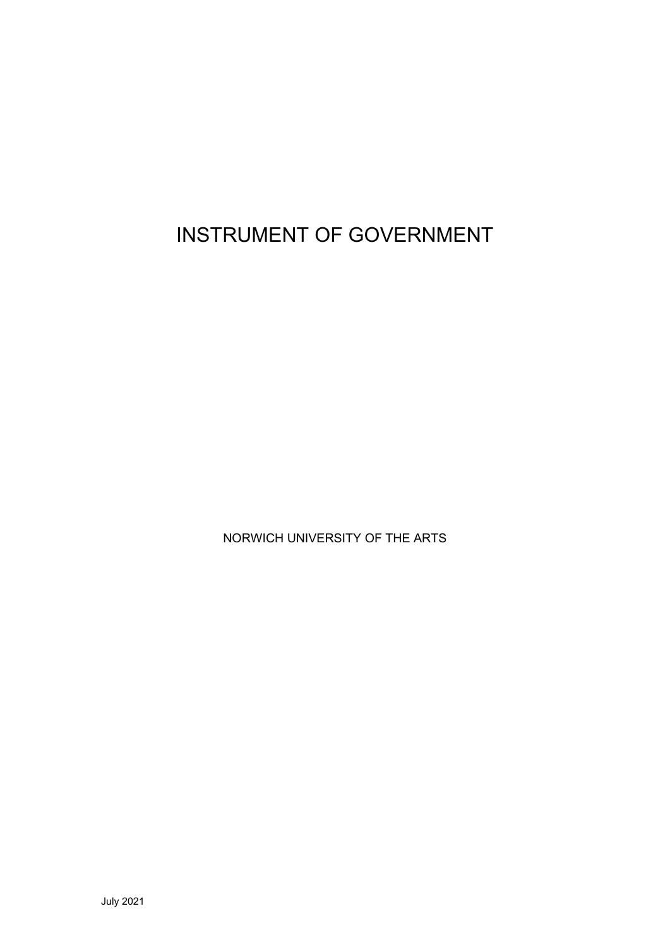INSTRUMENT OF GOVERNMENT

NORWICH UNIVERSITY OF THE ARTS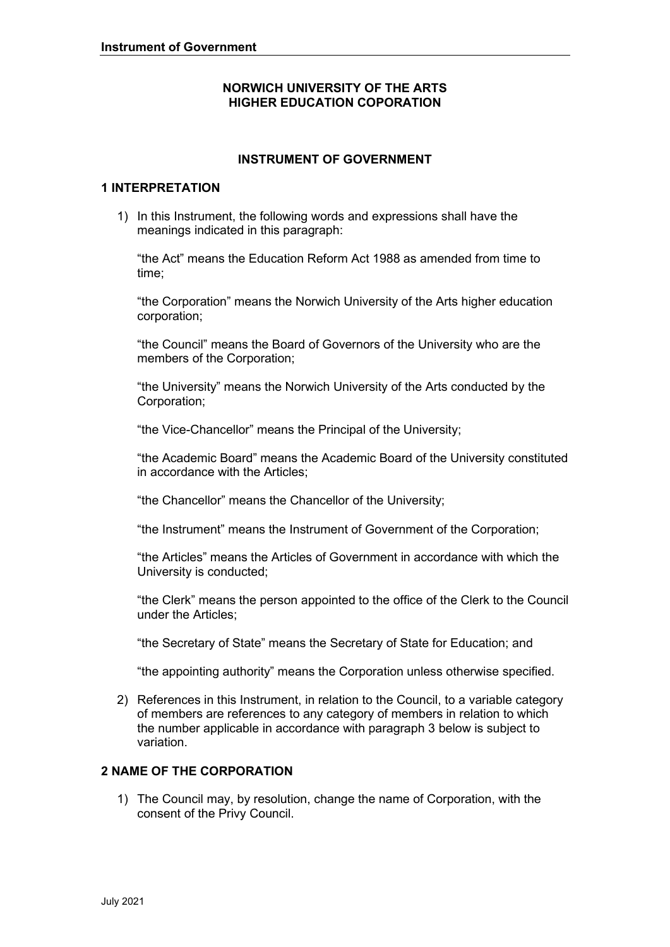## **NORWICH UNIVERSITY OF THE ARTS HIGHER EDUCATION COPORATION**

## **INSTRUMENT OF GOVERNMENT**

#### **1 INTERPRETATION**

1) In this Instrument, the following words and expressions shall have the meanings indicated in this paragraph:

 "the Act" means the Education Reform Act 1988 as amended from time to time;

"the Corporation" means the Norwich University of the Arts higher education corporation;

"the Council" means the Board of Governors of the University who are the members of the Corporation;

 "the University" means the Norwich University of the Arts conducted by the Corporation;

"the Vice-Chancellor" means the Principal of the University;

 "the Academic Board" means the Academic Board of the University constituted in accordance with the Articles;

"the Chancellor" means the Chancellor of the University;

"the Instrument" means the Instrument of Government of the Corporation;

 "the Articles" means the Articles of Government in accordance with which the University is conducted;

 "the Clerk" means the person appointed to the office of the Clerk to the Council under the Articles;

"the Secretary of State" means the Secretary of State for Education; and

"the appointing authority" means the Corporation unless otherwise specified.

2) References in this Instrument, in relation to the Council, to a variable category of members are references to any category of members in relation to which the number applicable in accordance with paragraph 3 below is subject to variation.

## **2 NAME OF THE CORPORATION**

1) The Council may, by resolution, change the name of Corporation, with the consent of the Privy Council.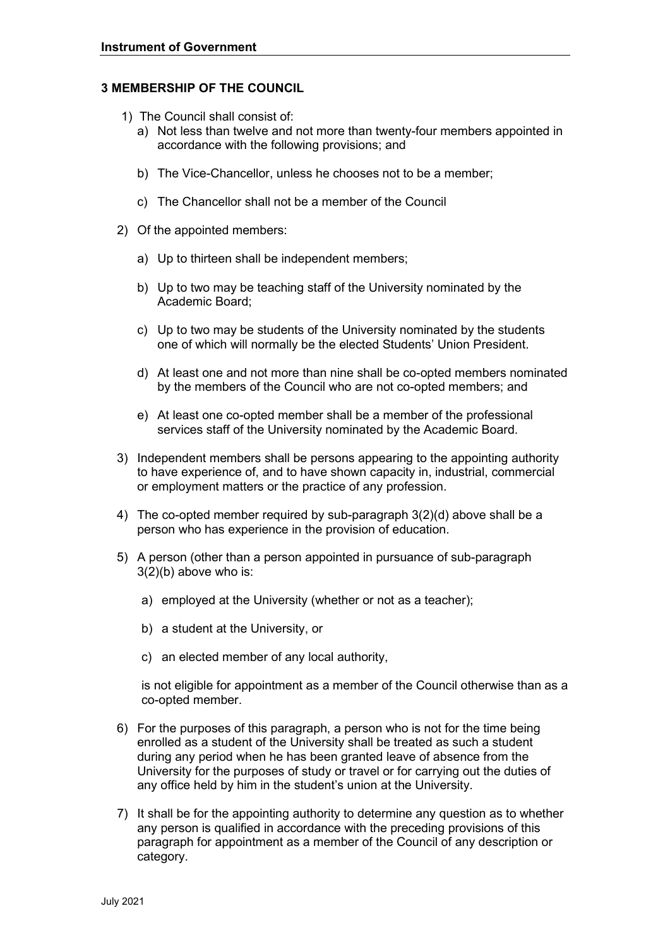#### **3 MEMBERSHIP OF THE COUNCIL**

- 1) The Council shall consist of:
	- a) Not less than twelve and not more than twenty-four members appointed in accordance with the following provisions; and
	- b) The Vice-Chancellor, unless he chooses not to be a member;
	- c) The Chancellor shall not be a member of the Council
- 2) Of the appointed members:
	- a) Up to thirteen shall be independent members;
	- b) Up to two may be teaching staff of the University nominated by the Academic Board;
	- one of which will normally be the elected Students' Union President. c) Up to two may be students of the University nominated by the students
	- one of which will normally be the elected Students' Union President.<br>d) At least one and not more than nine shall be co-opted members nominated by the members of the Council who are not co-opted members; and
	- by the members of the Council who are not co-opted members; and e) At least one co-opted member shall be a member of the professional services staff of the University nominated by the Academic Board.
- or employment matters or the practice of any profession. 3) Independent members shall be persons appearing to the appointing authority to have experience of, and to have shown capacity in, industrial, commercial
- 4) The co-opted member required by sub-paragraph 3(2)(d) above shall be a person who has experience in the provision of education.
- 5) A person (other than a person appointed in pursuance of sub-paragraph 3(2)(b) above who is:
	- a) employed at the University (whether or not as a teacher);
	- b) a student at the University, or
	- c) an elected member of any local authority,

 is not eligible for appointment as a member of the Council otherwise than as a co-opted member.

- 6) For the purposes of this paragraph, a person who is not for the time being University for the purposes of study or travel or for carrying out the duties of enrolled as a student of the University shall be treated as such a student during any period when he has been granted leave of absence from the any office held by him in the student's union at the University.
- any person is qualified in accordance with the preceding provisions of this 7) It shall be for the appointing authority to determine any question as to whether paragraph for appointment as a member of the Council of any description or category.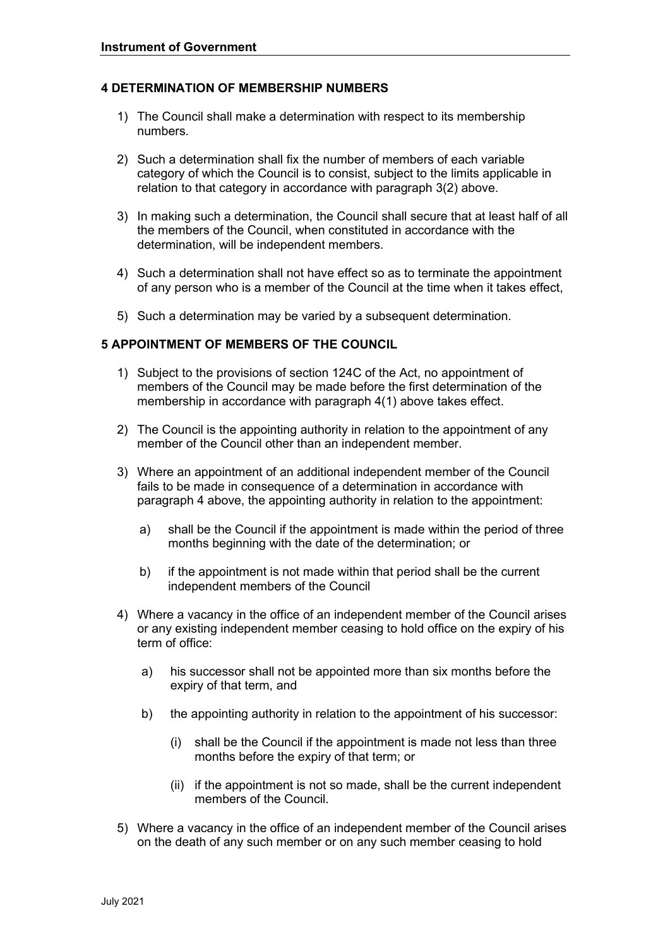#### **4 DETERMINATION OF MEMBERSHIP NUMBERS**

- 1) The Council shall make a determination with respect to its membership numbers.
- 2) Such a determination shall fix the number of members of each variable category of which the Council is to consist, subject to the limits applicable in relation to that category in accordance with paragraph 3(2) above.
- 3) In making such a determination, the Council shall secure that at least half of all the members of the Council, when constituted in accordance with the determination, will be independent members.
- 4) Such a determination shall not have effect so as to terminate the appointment of any person who is a member of the Council at the time when it takes effect,
- 5) Such a determination may be varied by a subsequent determination.

## **5 APPOINTMENT OF MEMBERS OF THE COUNCIL**

- 1) Subject to the provisions of section 124C of the Act, no appointment of members of the Council may be made before the first determination of the membership in accordance with paragraph 4(1) above takes effect.
- 2) The Council is the appointing authority in relation to the appointment of any member of the Council other than an independent member.
- 3) Where an appointment of an additional independent member of the Council fails to be made in consequence of a determination in accordance with paragraph 4 above, the appointing authority in relation to the appointment:
	- a) shall be the Council if the appointment is made within the period of three months beginning with the date of the determination; or
	- b) if the appointment is not made within that period shall be the current independent members of the Council
- 4) Where a vacancy in the office of an independent member of the Council arises or any existing independent member ceasing to hold office on the expiry of his term of office:
	- a) his successor shall not be appointed more than six months before the expiry of that term, and
	- b) the appointing authority in relation to the appointment of his successor:
		- months before the expiry of that term; or (i) shall be the Council if the appointment is made not less than three
		- (ii) if the appointment is not so made, shall be the current independent members of the Council.
- 5) Where a vacancy in the office of an independent member of the Council arises on the death of any such member or on any such member ceasing to hold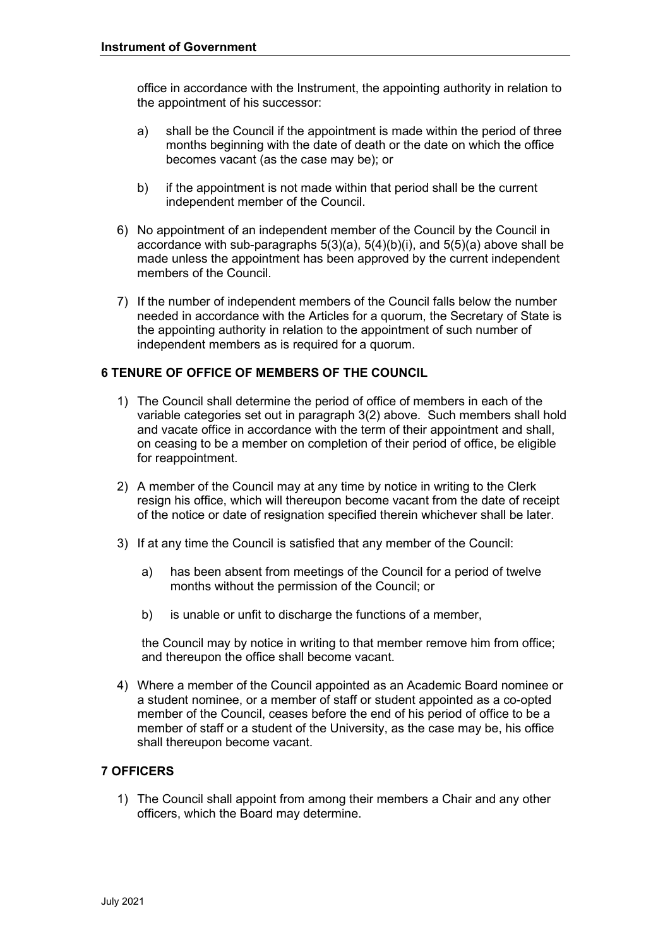office in accordance with the Instrument, the appointing authority in relation to the appointment of his successor:

- a) shall be the Council if the appointment is made within the period of three becomes vacant (as the case may be); or months beginning with the date of death or the date on which the office
- b) if the appointment is not made within that period shall be the current independent member of the Council.
- 6) No appointment of an independent member of the Council by the Council in accordance with sub-paragraphs 5(3)(a), 5(4)(b)(i), and 5(5)(a) above shall be made unless the appointment has been approved by the current independent members of the Council.
- 7) If the number of independent members of the Council falls below the number needed in accordance with the Articles for a quorum, the Secretary of State is the appointing authority in relation to the appointment of such number of independent members as is required for a quorum.

## **6 TENURE OF OFFICE OF MEMBERS OF THE COUNCIL**

- 1) The Council shall determine the period of office of members in each of the variable categories set out in paragraph 3(2) above. Such members shall hold and vacate office in accordance with the term of their appointment and shall, on ceasing to be a member on completion of their period of office, be eligible for reappointment.
- resign his office, which will thereupon become vacant from the date of receipt 2) A member of the Council may at any time by notice in writing to the Clerk of the notice or date of resignation specified therein whichever shall be later.
- 3) If at any time the Council is satisfied that any member of the Council:
	- a) has been absent from meetings of the Council for a period of twelve months without the permission of the Council; or
	- b) is unable or unfit to discharge the functions of a member,

the Council may by notice in writing to that member remove him from office; and thereupon the office shall become vacant.

 4) Where a member of the Council appointed as an Academic Board nominee or a student nominee, or a member of staff or student appointed as a co-opted member of the Council, ceases before the end of his period of office to be a member of staff or a student of the University, as the case may be, his office shall thereupon become vacant.

## **7 OFFICERS**

1) The Council shall appoint from among their members a Chair and any other officers, which the Board may determine.